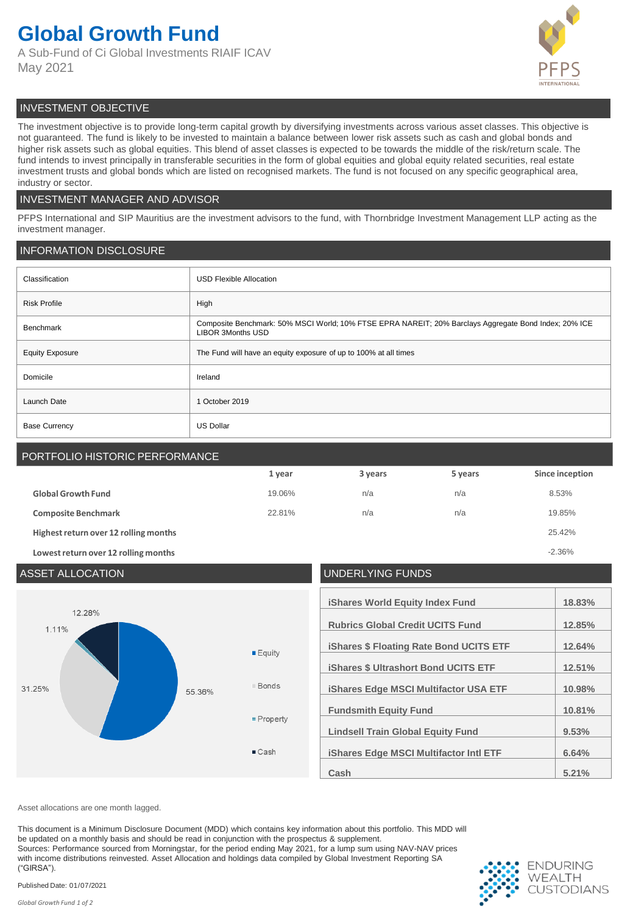# **Global Growth Fund**

A Sub-Fund of Ci Global Investments RIAIF ICAV May 2021



# INVESTMENT OBJECTIVE

The investment objective is to provide long-term capital growth by diversifying investments across various asset classes. This objective is not guaranteed. The fund is likely to be invested to maintain a balance between lower risk assets such as cash and global bonds and higher risk assets such as global equities. This blend of asset classes is expected to be towards the middle of the risk/return scale. The fund intends to invest principally in transferable securities in the form of global equities and global equity related securities, real estate investment trusts and global bonds which are listed on recognised markets. The fund is not focused on any specific geographical area, industry or sector.

# INVESTMENT MANAGER AND ADVISOR

PFPS International and SIP Mauritius are the investment advisors to the fund, with Thornbridge Investment Management LLP acting as the investment manager.

# INFORMATION DISCLOSURE

| Classification         | <b>USD Flexible Allocation</b>                                                                                                    |
|------------------------|-----------------------------------------------------------------------------------------------------------------------------------|
| <b>Risk Profile</b>    | High                                                                                                                              |
| Benchmark              | Composite Benchmark: 50% MSCI World; 10% FTSE EPRA NAREIT; 20% Barclays Aggregate Bond Index; 20% ICE<br><b>LIBOR 3Months USD</b> |
| <b>Equity Exposure</b> | The Fund will have an equity exposure of up to 100% at all times                                                                  |
| Domicile               | Ireland                                                                                                                           |
| Launch Date            | October 2019<br>1                                                                                                                 |
| <b>Base Currency</b>   | <b>US Dollar</b>                                                                                                                  |

# PORTFOLIO HISTORIC PERFORMANCE

|                                       | 1 year | 3 years | 5 years | Since inception |
|---------------------------------------|--------|---------|---------|-----------------|
| <b>Global Growth Fund</b>             | 19.06% | n/a     | n/a     | 8.53%           |
| <b>Composite Benchmark</b>            | 22.81% | n/a     | n/a     | 19.85%          |
| Highest return over 12 rolling months |        |         |         | 25.42%          |
| Lowest return over 12 rolling months  |        |         |         | $-2.36%$        |

## ASSET ALLOCATION UNDERLYING FUNDS **iShares World Equity Index Fund 18.83%** 12.28% **Rubrics Global Credit UCITS Fund 12.85%**  $111%$ **iShares \$ Floating Rate Bond UCITS ETF 12.64%**  $E$ Guitv **iShares \$ Ultrashort Bond UCITS ETF 12.51%** ■ Bonds 31.25% **iShares Edge MSCI Multifactor USA ETF 10.98%** 55.36% **Fundsmith Equity Fund 10.81%** Property **Lindsell Train Global Equity Fund 9.53%**  $\blacksquare$  Cash **iShares Edge MSCI Multifactor Intl ETF 6.64% Cash 5.21%**

Asset allocations are one month lagged.

This document is a Minimum Disclosure Document (MDD) which contains key information about this portfolio. This MDD will be updated on a monthly basis and should be read in conjunction with the prospectus & supplement. Sources: Performance sourced from Morningstar, for the period ending May 2021, for a lump sum using NAV-NAV prices with income distributions reinvested. Asset Allocation and holdings data compiled by Global Investment Reporting SA ("GIRSA").



Published Date: 01/07/2021